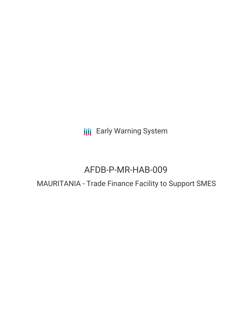**III** Early Warning System

# AFDB-P-MR-HAB-009

## MAURITANIA - Trade Finance Facility to Support SMES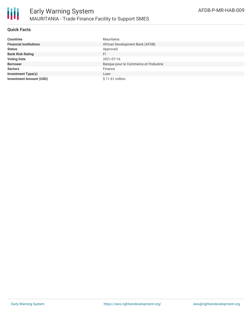

## **Quick Facts**

| <b>Countries</b>               | Mauritania                             |
|--------------------------------|----------------------------------------|
| <b>Financial Institutions</b>  | African Development Bank (AFDB)        |
| <b>Status</b>                  | Approved                               |
| <b>Bank Risk Rating</b>        | FI                                     |
| <b>Voting Date</b>             | 2021-07-16                             |
| <b>Borrower</b>                | Banque pour le Commerce et l'Industrie |
| <b>Sectors</b>                 | Finance                                |
| <b>Investment Type(s)</b>      | Loan                                   |
| <b>Investment Amount (USD)</b> | $$11.61$ million                       |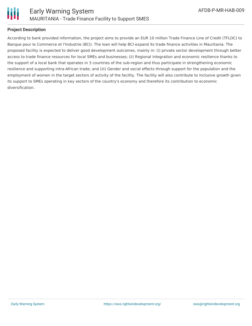

## **Project Description**

According to bank provided information, the project aims to provide an EUR 10 million Trade Finance Line of Credit (TFLOC) to Banque pour le Commerce et l'Industrie (BCI). The loan will help BCI expand its trade finance activities in Mauritania. The proposed facility is expected to deliver good development outcomes, mainly in: (i) private sector development through better access to trade finance resources for local SMEs and businesses; (ii) Regional integration and economic resilience thanks to the support of a local bank that operates in 3 countries of the sub-region and thus participate in strengthening economic resilience and supporting intra-African trade; and (iii) Gender and social effects through support for the population and the employment of women in the target sectors of activity of the facility. The facility will also contribute to inclusive growth given its support to SMEs operating in key sectors of the country's economy and therefore its contribution to economic diversification.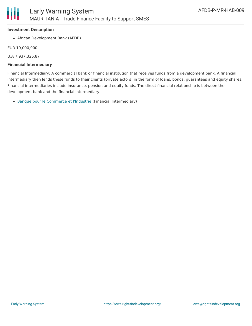#### **Investment Description**

African Development Bank (AFDB)

EUR 10,000,000

U.A 7,937,326.87

#### **Financial Intermediary**

Financial Intermediary: A commercial bank or financial institution that receives funds from a development bank. A financial intermediary then lends these funds to their clients (private actors) in the form of loans, bonds, guarantees and equity shares. Financial intermediaries include insurance, pension and equity funds. The direct financial relationship is between the development bank and the financial intermediary.

Banque pour le [Commerce](file:///actor/7529/) et l'Industrie (Financial Intermediary)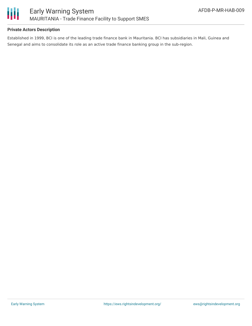

## **Private Actors Description**

Established in 1999, BCI is one of the leading trade finance bank in Mauritania. BCI has subsidiaries in Mali, Guinea and Senegal and aims to consolidate its role as an active trade finance banking group in the sub-region.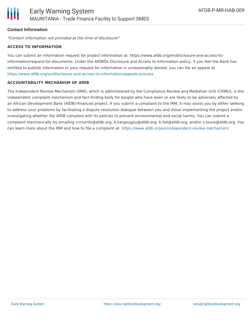## **Contact Information**

\*Contact information not provided at the time of disclosure\*

#### **ACCESS TO INFORMATION**

You can submit an information request for project information at: https://www.afdb.org/en/disclosure-and-access-toinformation/request-for-documents. Under the AfDBÕs Disclosure and Access to Information policy, if you feel the Bank has omitted to publish information or your request for information is unreasonably denied, you can file an appeal at <https://www.afdb.org/en/disclosure-and-access-to-information/appeals-process>

#### **ACCOUNTABILITY MECHANISM OF AfDB**

The Independent Review Mechanism (IRM), which is administered by the Compliance Review and Mediation Unit (CRMU), is the independent complaint mechanism and fact-finding body for people who have been or are likely to be adversely affected by an African Development Bank (AfDB)-financed project. If you submit a complaint to the IRM, it may assist you by either seeking to address your problems by facilitating a dispute resolution dialogue between you and those implementing the project and/or investigating whether the AfDB complied with its policies to prevent environmental and social harms. You can submit a complaint electronically by emailing crmuinfo@afdb.org, b.kargougou@afdb.org, b.fall@afdb.org, and/or s.toure@afdb.org. You can learn more about the IRM and how to file a complaint at: <https://www.afdb.org/en/independent-review-mechanism/>